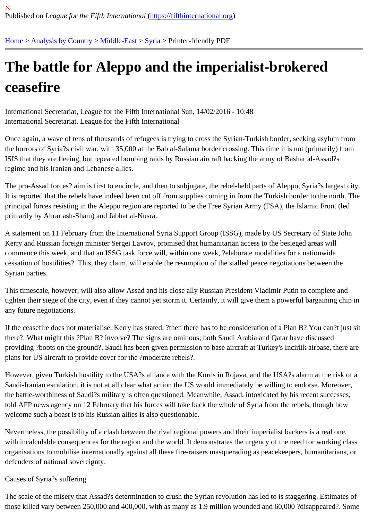# [The](https://fifthinternational.org/) [battle for](https://fifthinternational.org/category/1) [Aleppo](https://fifthinternational.org/category/1/178) [an](https://fifthinternational.org/category/1/178/196)d the imperialist-brokered ceasefire

International Secretariat, League for the Fifth International Sun, 14/02/2016 - 10:48 International Secretariat, League for the Fifth International

Once again, a wave of tens of thousands of refugees is trying to cross the Syrian-Turkish border, seeking asylum f the horrors of Syria?s civil war, with 35,000 at the Bab al-Salama border crossing. This time it is not (primarily) fror ISIS that they are fleeing, but repeated bombing raids by Russian aircraft backing the army of Bashar al-Assad?s regime and his Iranian and Lebanese allies.

The pro-Assad forces? aim is first to encircle, and then to subjugate, the rebel-held parts of Aleppo, Syria?s larges It is reported that the rebels have indeed been cut off from supplies coming in from the Turkish border to the north principal forces resisting in the Aleppo region are reported to be the Free Syrian Army (FSA), the Islamic Front (leo primarily by Ahrar ash-Sham) and Jabhat al-Nusra.

A statement on 11 February from the International Syria Support Group (ISSG), made by US Secretary of State Jo Kerry and Russian foreign minister Sergei Lavrov, promised that humanitarian access to the besieged areas will commence this week, and that an ISSG task force will, within one week, ?elaborate modalities for a nationwide cessation of hostilities?. This, they claim, will enable the resumption of the stalled peace negotiations between the Syrian parties.

This timescale, however, will also allow Assad and his close ally Russian President Vladimir Putin to complete and tighten their siege of the city, even if they cannot yet storm it. Certainly, it will give them a powerful bargaining chip any future negotiations.

If the ceasefire does not materialise, Kerry has stated, ?then there has to be consideration of a Plan B? You can?t there?. What might this ?Plan B? involve? The signs are ominous; both Saudi Arabia and Qatar have discussed providing ?boots on the ground?, Saudi has been given permission to base aircraft at Turkey's Incirlik airbase, the plans for US aircraft to provide cover for the ?moderate rebels?.

However, given Turkish hostility to the USA?s alliance with the Kurds in Rojava, and the USA?s alarm at the risk o Saudi-Iranian escalation, it is not at all clear what action the US would immediately be willing to endorse. Moreover, the battle-worthiness of Saudi?s military is often questioned. Meanwhile, Assad, intoxicated by his recent success told AFP news agency on 12 February that his forces will take back the whole of Syria from the rebels, though how welcome such a boast is to his Russian allies is also questionable.

Nevertheless, the possibility of a clash between the rival regional powers and their imperialist backers is a real one, with incalculable consequences for the region and the world. It demonstrates the urgency of the need for working o organisations to mobilise internationally against all these fire-raisers masquerading as peacekeepers, humanitaria defenders of national sovereignty.

## Causes of Syria?s suffering

The scale of the misery that Assad?s determination to crush the Syrian revolution has led to is staggering. Estimat those killed vary between 250,000 and 400,000, with as many as 1.9 million wounded and 60,000 ?disappeared?.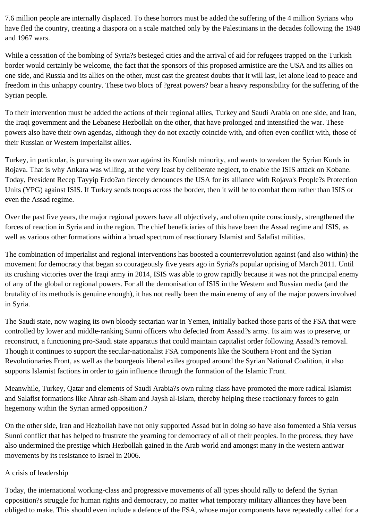7.6 million people are internally displaced. To these horrors must be added the suffering of the 4 million Syrians who have fled the country, creating a diaspora on a scale matched only by the Palestinians in the decades following the 1948 and 1967 wars.

While a cessation of the bombing of Syria?s besieged cities and the arrival of aid for refugees trapped on the Turkish border would certainly be welcome, the fact that the sponsors of this proposed armistice are the USA and its allies on one side, and Russia and its allies on the other, must cast the greatest doubts that it will last, let alone lead to peace and freedom in this unhappy country. These two blocs of ?great powers? bear a heavy responsibility for the suffering of the Syrian people.

To their intervention must be added the actions of their regional allies, Turkey and Saudi Arabia on one side, and Iran, the Iraqi government and the Lebanese Hezbollah on the other, that have prolonged and intensified the war. These powers also have their own agendas, although they do not exactly coincide with, and often even conflict with, those of their Russian or Western imperialist allies.

Turkey, in particular, is pursuing its own war against its Kurdish minority, and wants to weaken the Syrian Kurds in Rojava. That is why Ankara was willing, at the very least by deliberate neglect, to enable the ISIS attack on Kobane. Today, President Recep Tayyip Erdo?an fiercely denounces the USA for its alliance with Rojava's People?s Protection Units (YPG) against ISIS. If Turkey sends troops across the border, then it will be to combat them rather than ISIS or even the Assad regime.

Over the past five years, the major regional powers have all objectively, and often quite consciously, strengthened the forces of reaction in Syria and in the region. The chief beneficiaries of this have been the Assad regime and ISIS, as well as various other formations within a broad spectrum of reactionary Islamist and Salafist militias.

The combination of imperialist and regional interventions has boosted a counterrevolution against (and also within) the movement for democracy that began so courageously five years ago in Syria?s popular uprising of March 2011. Until its crushing victories over the Iraqi army in 2014, ISIS was able to grow rapidly because it was not the principal enemy of any of the global or regional powers. For all the demonisation of ISIS in the Western and Russian media (and the brutality of its methods is genuine enough), it has not really been the main enemy of any of the major powers involved in Syria.

The Saudi state, now waging its own bloody sectarian war in Yemen, initially backed those parts of the FSA that were controlled by lower and middle-ranking Sunni officers who defected from Assad?s army. Its aim was to preserve, or reconstruct, a functioning pro-Saudi state apparatus that could maintain capitalist order following Assad?s removal. Though it continues to support the secular-nationalist FSA components like the Southern Front and the Syrian Revolutionaries Front, as well as the bourgeois liberal exiles grouped around the Syrian National Coalition, it also supports Islamist factions in order to gain influence through the formation of the Islamic Front.

Meanwhile, Turkey, Qatar and elements of Saudi Arabia?s own ruling class have promoted the more radical Islamist and Salafist formations like Ahrar ash-Sham and Jaysh al-Islam, thereby helping these reactionary forces to gain hegemony within the Syrian armed opposition.?

On the other side, Iran and Hezbollah have not only supported Assad but in doing so have also fomented a Shia versus Sunni conflict that has helped to frustrate the yearning for democracy of all of their peoples. In the process, they have also undermined the prestige which Hezbollah gained in the Arab world and amongst many in the western antiwar movements by its resistance to Israel in 2006.

#### A crisis of leadership

Today, the international working-class and progressive movements of all types should rally to defend the Syrian opposition?s struggle for human rights and democracy, no matter what temporary military alliances they have been obliged to make. This should even include a defence of the FSA, whose major components have repeatedly called for a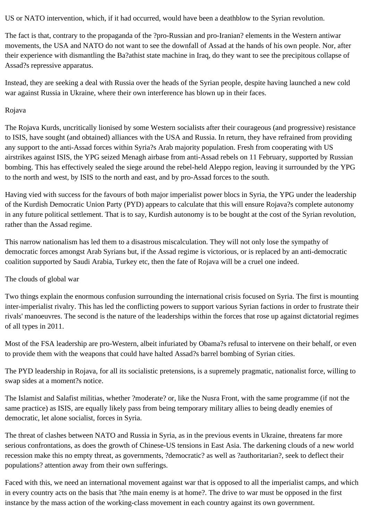US or NATO intervention, which, if it had occurred, would have been a deathblow to the Syrian revolution.

The fact is that, contrary to the propaganda of the ?pro-Russian and pro-Iranian? elements in the Western antiwar movements, the USA and NATO do not want to see the downfall of Assad at the hands of his own people. Nor, after their experience with dismantling the Ba?athist state machine in Iraq, do they want to see the precipitous collapse of Assad?s repressive apparatus.

Instead, they are seeking a deal with Russia over the heads of the Syrian people, despite having launched a new cold war against Russia in Ukraine, where their own interference has blown up in their faces.

### Rojava

The Rojava Kurds, uncritically lionised by some Western socialists after their courageous (and progressive) resistance to ISIS, have sought (and obtained) alliances with the USA and Russia. In return, they have refrained from providing any support to the anti-Assad forces within Syria?s Arab majority population. Fresh from cooperating with US airstrikes against ISIS, the YPG seized Menagh airbase from anti-Assad rebels on 11 February, supported by Russian bombing. This has effectively sealed the siege around the rebel-held Aleppo region, leaving it surrounded by the YPG to the north and west, by ISIS to the north and east, and by pro-Assad forces to the south.

Having vied with success for the favours of both major imperialist power blocs in Syria, the YPG under the leadership of the Kurdish Democratic Union Party (PYD) appears to calculate that this will ensure Rojava?s complete autonomy in any future political settlement. That is to say, Kurdish autonomy is to be bought at the cost of the Syrian revolution, rather than the Assad regime.

This narrow nationalism has led them to a disastrous miscalculation. They will not only lose the sympathy of democratic forces amongst Arab Syrians but, if the Assad regime is victorious, or is replaced by an anti-democratic coalition supported by Saudi Arabia, Turkey etc, then the fate of Rojava will be a cruel one indeed.

## The clouds of global war

Two things explain the enormous confusion surrounding the international crisis focused on Syria. The first is mounting inter-imperialist rivalry. This has led the conflicting powers to support various Syrian factions in order to frustrate their rivals' manoeuvres. The second is the nature of the leaderships within the forces that rose up against dictatorial regimes of all types in 2011.

Most of the FSA leadership are pro-Western, albeit infuriated by Obama?s refusal to intervene on their behalf, or even to provide them with the weapons that could have halted Assad?s barrel bombing of Syrian cities.

The PYD leadership in Rojava, for all its socialistic pretensions, is a supremely pragmatic, nationalist force, willing to swap sides at a moment?s notice.

The Islamist and Salafist militias, whether ?moderate? or, like the Nusra Front, with the same programme (if not the same practice) as ISIS, are equally likely pass from being temporary military allies to being deadly enemies of democratic, let alone socialist, forces in Syria.

The threat of clashes between NATO and Russia in Syria, as in the previous events in Ukraine, threatens far more serious confrontations, as does the growth of Chinese-US tensions in East Asia. The darkening clouds of a new world recession make this no empty threat, as governments, ?democratic? as well as ?authoritarian?, seek to deflect their populations? attention away from their own sufferings.

Faced with this, we need an international movement against war that is opposed to all the imperialist camps, and which in every country acts on the basis that ?the main enemy is at home?. The drive to war must be opposed in the first instance by the mass action of the working-class movement in each country against its own government.